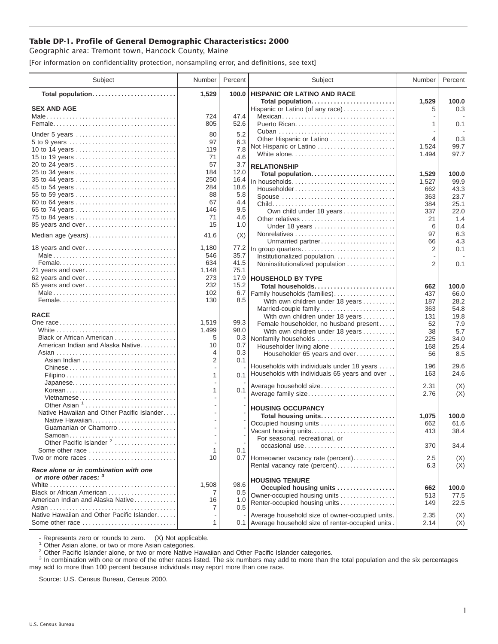## **Table DP-1. Profile of General Demographic Characteristics: 2000**

Geographic area: Tremont town, Hancock County, Maine

[For information on confidentiality protection, nonsampling error, and definitions, see text]

| Subject                                                                  | Number         | Percent      | Subject                                                  | Number     | Percent      |
|--------------------------------------------------------------------------|----------------|--------------|----------------------------------------------------------|------------|--------------|
| Total population                                                         | 1,529          | 100.0        | <b>HISPANIC OR LATINO AND RACE</b>                       |            |              |
| <b>SEX AND AGE</b>                                                       |                |              | Total population<br>Hispanic or Latino (of any race)     | 1,529<br>5 | 100.0<br>0.3 |
|                                                                          | 724            | 47.4         | Mexican                                                  |            |              |
|                                                                          | 805            | 52.6         | Puerto Rican                                             | 1          | 0.1          |
|                                                                          |                |              |                                                          |            |              |
| Under 5 years                                                            | 80<br>97       | 5.2<br>6.3   | Other Hispanic or Latino                                 | 4          | 0.3          |
| 5 to 9 years<br>10 to 14 years                                           | 119            | 7.8          | Not Hispanic or Latino                                   | 1,524      | 99.7         |
| 15 to 19 years                                                           | 71             | 4.6          | White alone                                              | 1,494      | 97.7         |
| 20 to 24 years                                                           | 57             | 3.7          | <b>RELATIONSHIP</b>                                      |            |              |
| 25 to 34 years                                                           | 184            | 12.0         | Total population                                         | 1,529      | 100.0        |
| 35 to 44 years                                                           | 250            | 16.4         | In households                                            | 1,527      | 99.9         |
| 45 to 54 years                                                           | 284            | 18.6         | Householder                                              | 662        | 43.3         |
| 55 to 59 years                                                           | 88             | 5.8          | Spouse                                                   | 363        | 23.7         |
| 60 to 64 years                                                           | 67             | 4.4          |                                                          | 384        | 25.1         |
| 65 to 74 years                                                           | 146            | 9.5          | Own child under 18 years                                 | 337        | 22.0         |
| 75 to 84 years                                                           | 71<br>15       | 4.6          |                                                          | 21         | 1.4          |
| 85 years and over                                                        |                | 1.0          | Under 18 years                                           | 6          | 0.4          |
| Median age (years)                                                       | 41.6           | (X)          |                                                          | 97         | 6.3          |
| 18 years and over                                                        | 1,180          | 77.2         | Unmarried partner<br>In group quarters                   | 66<br>2    | 4.3<br>0.1   |
|                                                                          | 546            | 35.7         | Institutionalized population                             |            |              |
|                                                                          | 634            | 41.5         | Noninstitutionalized population                          | 2          | 0.1          |
| 21 years and over                                                        | 1,148          | 75.1         |                                                          |            |              |
| 62 years and over                                                        | 273            | 17.9         | <b>HOUSEHOLD BY TYPE</b>                                 |            |              |
| 65 years and over                                                        | 232            | 15.2         | Total households                                         | 662        | 100.0        |
|                                                                          | 102            | 6.7          | Family households (families)                             | 437        | 66.0         |
|                                                                          | 130            | 8.5          | With own children under 18 years                         | 187        | 28.2         |
|                                                                          |                |              | Married-couple family                                    | 363        | 54.8         |
| <b>RACE</b>                                                              |                |              | With own children under 18 years                         | 131        | 19.8         |
|                                                                          | 1,519<br>1,499 | 99.3<br>98.0 | Female householder, no husband present                   | 52         | 7.9          |
| Black or African American                                                | 5              | 0.3          | With own children under 18 years<br>Nonfamily households | 38<br>225  | 5.7<br>34.0  |
| American Indian and Alaska Native                                        | 10             | 0.7          | Householder living alone                                 | 168        | 25.4         |
|                                                                          | 4              | 0.3          | Householder 65 years and over                            | 56         | 8.5          |
|                                                                          | 2              | 0.1          |                                                          |            |              |
|                                                                          |                |              | Households with individuals under 18 years               | 196        | 29.6         |
|                                                                          | 1              | 0.1          | Households with individuals 65 years and over            | 163        | 24.6         |
| Japanese                                                                 |                |              | Average household size                                   | 2.31       | (X)          |
| Korean                                                                   | 1              | 0.1          | Average family size                                      | 2.76       | (X)          |
| Vietnamese<br>Other Asian <sup>1</sup>                                   |                |              |                                                          |            |              |
| Native Hawaiian and Other Pacific Islander                               |                |              | <b>HOUSING OCCUPANCY</b>                                 |            |              |
| Native Hawaiian                                                          |                |              | Total housing units                                      | 1,075      | 100.0        |
| Guamanian or Chamorro                                                    |                |              | Occupied housing units                                   | 662        | 61.6         |
| Samoan                                                                   |                |              | Vacant housing units<br>For seasonal, recreational, or   | 413        | 38.4         |
| Other Pacific Islander <sup>2</sup>                                      |                |              | occasional use                                           | 370        | 34.4         |
| Some other race                                                          | 1              | 0.1          |                                                          |            |              |
| Two or more races                                                        | 10             |              | 0.7 Homeowner vacancy rate (percent)                     | 2.5        | (X)          |
| Race alone or in combination with one<br>or more other races: 3          |                |              | Rental vacancy rate (percent)                            | 6.3        | (X)          |
|                                                                          | 1,508          | 98.6         | <b>HOUSING TENURE</b>                                    |            |              |
| Black or African American                                                | 7              | 0.5          | Occupied housing units<br>Owner-occupied housing units   | 662        | 100.0        |
| American Indian and Alaska Native                                        | 16             | 1.0          | Renter-occupied housing units                            | 513<br>149 | 77.5<br>22.5 |
|                                                                          | 7              | 0.5          |                                                          |            |              |
| Native Hawaiian and Other Pacific Islander                               |                |              | Average household size of owner-occupied units.          | 2.35       | (X)          |
| Some other race $\ldots, \ldots, \ldots, \ldots, \ldots, \ldots, \ldots$ | 1              |              | 0.1 Average household size of renter-occupied units.     | 2.14       | (X)          |

- Represents zero or rounds to zero. (X) Not applicable.<br><sup>1</sup> Other Asian alone, or two or more Asian categories.

<sup>2</sup> Other Pacific Islander alone, or two or more Native Hawaiian and Other Pacific Islander categories.<br><sup>3</sup> In combination with one or more of the other races listed. The six numbers may add to more than the total populati may add to more than 100 percent because individuals may report more than one race.

Source: U.S. Census Bureau, Census 2000.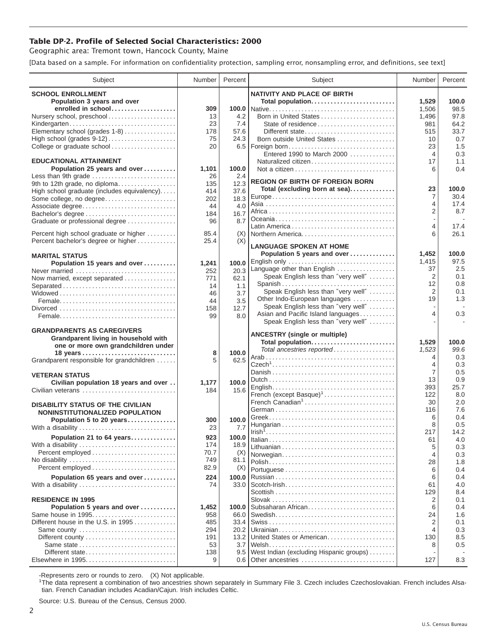## **Table DP-2. Profile of Selected Social Characteristics: 2000**

Geographic area: Tremont town, Hancock County, Maine

[Data based on a sample. For information on confidentiality protection, sampling error, nonsampling error, and definitions, see text]

| Subject                                             | Number      | Percent    | Subject                                                              | Number         | Percent    |
|-----------------------------------------------------|-------------|------------|----------------------------------------------------------------------|----------------|------------|
| <b>SCHOOL ENROLLMENT</b>                            |             |            | <b>NATIVITY AND PLACE OF BIRTH</b>                                   |                |            |
| Population 3 years and over                         |             |            | Total population                                                     | 1,529          | 100.0      |
| enrolled in school                                  | 309         |            |                                                                      | 1,506          | 98.5       |
| Nursery school, preschool                           | 13          | 4.2        | Born in United States                                                | 1,496          | 97.8       |
| Kindergarten                                        | 23          | 7.4        | State of residence                                                   | 981            | 64.2       |
| Elementary school (grades 1-8)                      | 178         | 57.6       | Different state                                                      | 515            | 33.7       |
| High school (grades 9-12)                           | 75          | 24.3       | Born outside United States                                           | 10             | 0.7        |
| College or graduate school                          | 20          | 6.5        | Foreign born                                                         | 23             | 1.5        |
|                                                     |             |            | Entered 1990 to March 2000                                           | 4              | 0.3        |
| <b>EDUCATIONAL ATTAINMENT</b>                       |             | 100.0      | Naturalized citizen                                                  | 17<br>6        | 1.1<br>0.4 |
| Population 25 years and over<br>Less than 9th grade | 1,101<br>26 | 2.4        |                                                                      |                |            |
| 9th to 12th grade, no diploma                       | 135         | 12.3       | <b>REGION OF BIRTH OF FOREIGN BORN</b>                               |                |            |
| High school graduate (includes equivalency)         | 414         | 37.6       | Total (excluding born at sea)                                        | 23             | 100.0      |
| Some college, no degree                             | 202         | 18.3       |                                                                      | $\overline{7}$ | 30.4       |
| Associate degree                                    | 44          | 4.0        |                                                                      | 4              | 17.4       |
| Bachelor's degree                                   | 184         | 16.7       |                                                                      | $\overline{2}$ | 8.7        |
| Graduate or professional degree                     | 96          | 8.7        |                                                                      |                |            |
| Percent high school graduate or higher              | 85.4        |            |                                                                      | 4<br>6         | 17.4       |
| Percent bachelor's degree or higher                 | 25.4        | (X)<br>(X) | Northern America                                                     |                | 26.1       |
|                                                     |             |            | <b>LANGUAGE SPOKEN AT HOME</b>                                       |                |            |
| <b>MARITAL STATUS</b>                               |             |            | Population 5 years and over                                          | 1,452          | 100.0      |
| Population 15 years and over                        | 1,241       | 100.0      | English only                                                         | 1,415          | 97.5       |
| Never married                                       | 252         | 20.3       | Language other than English                                          | 37             | 2.5        |
| Now married, except separated                       | 771         | 62.1       | Speak English less than "very well"                                  | 2              | 0.1        |
| Separated                                           | 14          | 1.1        | Spanish                                                              | 12             | 0.8        |
|                                                     | 46          | 3.7        | Speak English less than "very well"                                  | $\overline{2}$ | 0.1        |
|                                                     | 44          | 3.5        | Other Indo-European languages<br>Speak English less than "very well" | 19             | 1.3        |
|                                                     | 158         | 12.7       | Asian and Pacific Island languages                                   | 4              | 0.3        |
|                                                     | 99          | 8.0        | Speak English less than "very well"                                  |                |            |
| <b>GRANDPARENTS AS CAREGIVERS</b>                   |             |            |                                                                      |                |            |
| Grandparent living in household with                |             |            | <b>ANCESTRY (single or multiple)</b>                                 |                |            |
| one or more own grandchildren under                 |             |            | Total population                                                     | 1,529          | 100.0      |
|                                                     | 8           | 100.0      | Total ancestries reported                                            | 1,523<br>4     | 99.6       |
| Grandparent responsible for grandchildren           | 5           | 62.5       |                                                                      | 4              | 0.3<br>0.3 |
|                                                     |             |            |                                                                      | 7              | 0.5        |
| <b>VETERAN STATUS</b>                               |             |            |                                                                      | 13             | 0.9        |
| Civilian population 18 years and over               | 1,177       | 100.0      |                                                                      | 393            | 25.7       |
| Civilian veterans                                   | 184         | 15.6       | French (except Basque) <sup>1</sup>                                  | 122            | 8.0        |
| <b>DISABILITY STATUS OF THE CIVILIAN</b>            |             |            | French Canadian <sup>1</sup>                                         | 30             | 2.0        |
| NONINSTITUTIONALIZED POPULATION                     |             |            |                                                                      | 116            | 7.6        |
| Population 5 to 20 years                            | 300         | 100.0      |                                                                      | 6              | 0.4        |
| With a disability                                   | 23          | 7.7        |                                                                      | 8              | 0.5        |
| Population 21 to 64 years                           | 923         | 100.0      |                                                                      | 217            | 14.2       |
| With a disability                                   | 174         | 18.9       |                                                                      | 61             | 4.0        |
|                                                     | 70.7        | (X)        |                                                                      | 5<br>4         | 0.3        |
| No disability                                       | 749         | 81.1       | Norwegian                                                            | 28             | 0.3<br>1.8 |
|                                                     | 82.9        | (X)        |                                                                      | 6              | 0.4        |
| Population 65 years and over                        | 224         | 100.0      |                                                                      | 6              | 0.4        |
| With a disability                                   | 74          | 33.0       |                                                                      | 61             | 4.0        |
|                                                     |             |            |                                                                      | 129            | 8.4        |
| <b>RESIDENCE IN 1995</b>                            |             |            |                                                                      | 2              | 0.1        |
| Population 5 years and over                         | 1,452       | 100.0      | Subsaharan African                                                   | 6              | 0.4        |
| Same house in 1995                                  | 958         | 66.0       |                                                                      | 24             | 1.6        |
| Different house in the U.S. in 1995                 | 485         | 33.4       |                                                                      | 2              | 0.1        |
| Same county                                         | 294         | 20.2       |                                                                      | 4              | 0.3        |
|                                                     | 191         | 13.2       | United States or American                                            | 130            | 8.5        |
|                                                     | 53          | 3.7        |                                                                      | 8              | 0.5        |
| Different state                                     | 138<br>9    | 9.5        | West Indian (excluding Hispanic groups)<br>0.6 Other ancestries      | 127            | 8.3        |
|                                                     |             |            |                                                                      |                |            |

-Represents zero or rounds to zero. (X) Not applicable. 1 The data represent a combination of two ancestries shown separately in Summary File 3. Czech includes Czechoslovakian. French includes Alsatian. French Canadian includes Acadian/Cajun. Irish includes Celtic.

Source: U.S. Bureau of the Census, Census 2000.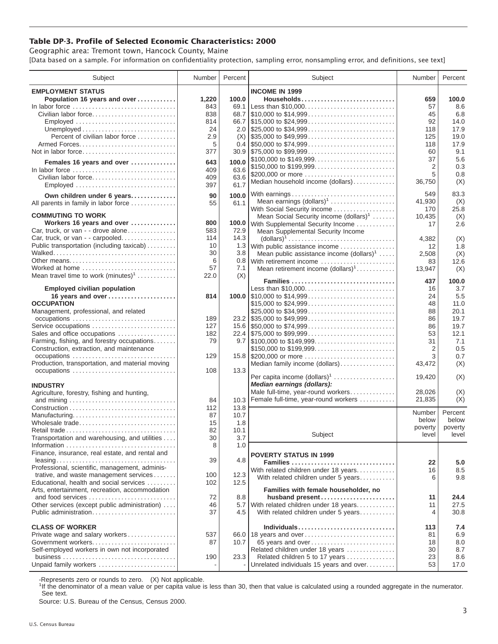## **Table DP-3. Profile of Selected Economic Characteristics: 2000**

Geographic area: Tremont town, Hancock County, Maine [Data based on a sample. For information on confidentiality protection, sampling error, nonsampling error, and definitions, see text]

| Subject                                                                         | Number | Percent | Subject                                                                                | Number         | Percent |
|---------------------------------------------------------------------------------|--------|---------|----------------------------------------------------------------------------------------|----------------|---------|
| <b>EMPLOYMENT STATUS</b>                                                        |        |         | <b>INCOME IN 1999</b>                                                                  |                |         |
| Population 16 years and over                                                    | 1,220  | 100.0   | Households                                                                             | 659            | 100.0   |
| In labor force                                                                  | 843    | 69.1    |                                                                                        | 57             | 8.6     |
| Civilian labor force                                                            | 838    | 68.7    | $\frac{1}{2}$ \$10,000 to \$14,999                                                     | 45             | 6.8     |
| Employed                                                                        | 814    |         |                                                                                        | 92             | 14.0    |
|                                                                                 | 24     |         |                                                                                        | 118            | 17.9    |
| Percent of civilian labor force                                                 | 2.9    | (X)     | $\frac{1}{2}$ \$35,000 to \$49,999                                                     | 125            | 19.0    |
|                                                                                 | 5      |         | $0.4$ \, \$50,000 to \$74,999                                                          | 118            | 17.9    |
| Not in labor force                                                              | 377    |         | $30.9$   \$75,000 to \$99,999                                                          | 60             | 9.1     |
|                                                                                 |        |         | \$100,000 to \$149,999                                                                 | 37             | 5.6     |
| Females 16 years and over                                                       | 643    | 100.0   |                                                                                        | 2              | 0.3     |
| In labor force $\ldots \ldots \ldots \ldots \ldots \ldots \ldots \ldots \ldots$ | 409    | 63.6    | \$150,000 to \$199,999<br>\$200,000 or more                                            | 5              | 0.8     |
| Civilian labor force                                                            | 409    | 63.6    | Median household income (dollars)                                                      | 36,750         | (X)     |
| Employed                                                                        | 397    | 61.7    |                                                                                        |                |         |
| Own children under 6 years                                                      | 90     | 100.0   | With earnings                                                                          | 549            | 83.3    |
| All parents in family in labor force                                            | 55     | 61.1    | Mean earnings $(dollars)1$                                                             | 41,930         | (X)     |
|                                                                                 |        |         | With Social Security income                                                            | 170            | 25.8    |
| <b>COMMUTING TO WORK</b>                                                        |        |         | Mean Social Security income $(dollars)^1$                                              | 10,435         | (X)     |
| Workers 16 years and over                                                       | 800    | 100.0   | With Supplemental Security Income                                                      | 17             | 2.6     |
| Car, truck, or van - - drove alone                                              | 583    | 72.9    | Mean Supplemental Security Income                                                      |                |         |
| Car, truck, or van - - carpooled                                                | 114    | 14.3    | $\text{(dollars)}^1 \dots \dots \dots \dots \dots \dots \dots \dots \dots \dots \dots$ | 4,382          | (X)     |
| Public transportation (including taxicab)                                       | 10     | 1.3     | With public assistance income                                                          | 12             | 1.8     |
|                                                                                 | 30     | 3.8     | Mean public assistance income $(dollars)1 \ldots$ .                                    | 2.508          | (X)     |
| Other means                                                                     | 6      | 0.8     | With retirement income                                                                 | 83             | 12.6    |
| Worked at home                                                                  | 57     | 7.1     | Mean retirement income $(dollars)1$                                                    | 13,947         | (X)     |
| Mean travel time to work $(minutes)^1$                                          | 22.0   | (X)     |                                                                                        |                |         |
|                                                                                 |        |         | Families                                                                               | 437            | 100.0   |
| <b>Employed civilian population</b>                                             |        |         | Less than \$10,000                                                                     | 16             | 3.7     |
| 16 years and over                                                               | 814    |         |                                                                                        | 24             | 5.5     |
| <b>OCCUPATION</b>                                                               |        |         | \$15,000 to \$24,999                                                                   | 48             | 11.0    |
| Management, professional, and related                                           |        |         | \$25,000 to \$34,999                                                                   | 88             | 20.1    |
|                                                                                 | 189    |         |                                                                                        | 86             | 19.7    |
| Service occupations                                                             | 127    |         |                                                                                        | 86             | 19.7    |
| Sales and office occupations                                                    | 182    |         |                                                                                        | 53             | 12.1    |
| Farming, fishing, and forestry occupations                                      | 79     |         |                                                                                        | 31             | 7.1     |
| Construction, extraction, and maintenance                                       |        |         | \$150,000 to \$199,999                                                                 | 2              | 0.5     |
| occupations                                                                     | 129    |         | 15.8 \$200,000 or more                                                                 | 3              | 0.7     |
| Production, transportation, and material moving                                 |        |         | Median family income (dollars)                                                         | 43,472         | (X)     |
| occupations                                                                     | 108    | 13.3    | Per capita income $(dollars)1$                                                         | 19,420         | (X)     |
| <b>INDUSTRY</b>                                                                 |        |         | Median earnings (dollars):                                                             |                |         |
| Agriculture, forestry, fishing and hunting,                                     |        |         | Male full-time, year-round workers                                                     | 28,026         | (X)     |
|                                                                                 | 84     | 10.3    | Female full-time, year-round workers                                                   | 21,835         | (X)     |
|                                                                                 | 112    | 13.8    |                                                                                        |                |         |
| Manufacturing                                                                   | 87     | 10.7    |                                                                                        | Number         | Percent |
| Wholesale trade                                                                 | 15     | 1.8     |                                                                                        | below          | below   |
| Retail trade                                                                    | 82     | 10.1    |                                                                                        | poverty        | poverty |
| Transportation and warehousing, and utilities                                   | 30     | 3.7     | Subject                                                                                | level          | level   |
|                                                                                 | 8      | 1.0     |                                                                                        |                |         |
| Finance, insurance, real estate, and rental and                                 |        |         |                                                                                        |                |         |
|                                                                                 | 39     | 4.8     | <b>POVERTY STATUS IN 1999</b>                                                          |                |         |
| Professional, scientific, management, adminis-                                  |        |         | Families                                                                               | 22             | 5.0     |
| trative, and waste management services                                          | 100    | 12.3    | With related children under 18 years                                                   | 16             | 8.5     |
| Educational, health and social services                                         | 102    | 12.5    | With related children under 5 years                                                    | 6              | 9.8     |
| Arts, entertainment, recreation, accommodation                                  |        |         | Families with female householder, no                                                   |                |         |
| and food services                                                               | 72     | 8.8     | husband present                                                                        | 11             | 24.4    |
| Other services (except public administration)                                   | 46     | 5.7     | With related children under 18 years                                                   | 11             | 27.5    |
| Public administration                                                           | 37     | 4.5     | With related children under 5 years                                                    | $\overline{4}$ | 30.8    |
|                                                                                 |        |         |                                                                                        |                |         |
| <b>CLASS OF WORKER</b>                                                          |        |         | Individuals                                                                            | 113            | 7.4     |
| Private wage and salary workers                                                 | 537    |         | 66.0 18 years and over                                                                 | 81             | 6.9     |
| Government workers                                                              | 87     | 10.7    | 65 years and over                                                                      | 18             | 8.0     |
| Self-employed workers in own not incorporated                                   |        |         | Related children under 18 years                                                        | 30             | 8.7     |
|                                                                                 | 190    | 23.3    | Related children 5 to 17 years                                                         | 23             | 8.6     |
| Unpaid family workers                                                           |        |         | Unrelated individuals 15 years and over                                                | 53             | 17.0    |
|                                                                                 |        |         |                                                                                        |                |         |

-Represents zero or rounds to zero. (X) Not applicable.

<sup>1</sup>If the denominator of a mean value or per capita value is less than 30, then that value is calculated using a rounded aggregate in the numerator. See text.

Source: U.S. Bureau of the Census, Census 2000.